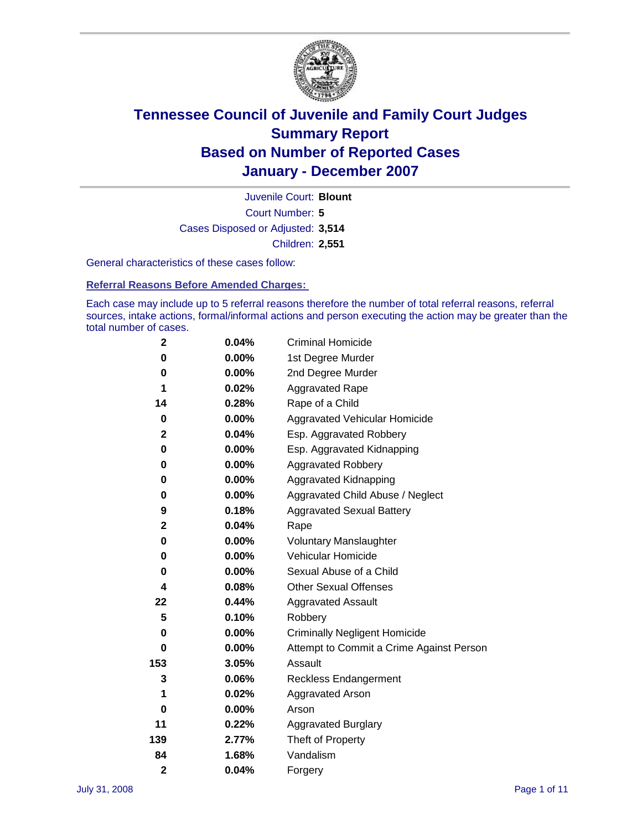

Court Number: **5** Juvenile Court: **Blount** Cases Disposed or Adjusted: **3,514** Children: **2,551**

General characteristics of these cases follow:

**Referral Reasons Before Amended Charges:** 

Each case may include up to 5 referral reasons therefore the number of total referral reasons, referral sources, intake actions, formal/informal actions and person executing the action may be greater than the total number of cases.

| 2              | 0.04% | <b>Criminal Homicide</b>                 |
|----------------|-------|------------------------------------------|
| 0              | 0.00% | 1st Degree Murder                        |
| 0              | 0.00% | 2nd Degree Murder                        |
| 1              | 0.02% | <b>Aggravated Rape</b>                   |
| 14             | 0.28% | Rape of a Child                          |
| 0              | 0.00% | Aggravated Vehicular Homicide            |
| $\mathbf 2$    | 0.04% | Esp. Aggravated Robbery                  |
| 0              | 0.00% | Esp. Aggravated Kidnapping               |
| 0              | 0.00% | <b>Aggravated Robbery</b>                |
| 0              | 0.00% | Aggravated Kidnapping                    |
| 0              | 0.00% | Aggravated Child Abuse / Neglect         |
| 9              | 0.18% | <b>Aggravated Sexual Battery</b>         |
| $\mathbf{2}$   | 0.04% | Rape                                     |
| 0              | 0.00% | <b>Voluntary Manslaughter</b>            |
| 0              | 0.00% | Vehicular Homicide                       |
| 0              | 0.00% | Sexual Abuse of a Child                  |
| 4              | 0.08% | <b>Other Sexual Offenses</b>             |
| 22             | 0.44% | <b>Aggravated Assault</b>                |
| 5              | 0.10% | Robbery                                  |
| 0              | 0.00% | <b>Criminally Negligent Homicide</b>     |
| 0              | 0.00% | Attempt to Commit a Crime Against Person |
| 153            | 3.05% | Assault                                  |
| 3              | 0.06% | <b>Reckless Endangerment</b>             |
| 1              | 0.02% | <b>Aggravated Arson</b>                  |
| 0              | 0.00% | Arson                                    |
| 11             | 0.22% | <b>Aggravated Burglary</b>               |
| 139            | 2.77% | Theft of Property                        |
| 84             | 1.68% | Vandalism                                |
| $\overline{2}$ | 0.04% | Forgery                                  |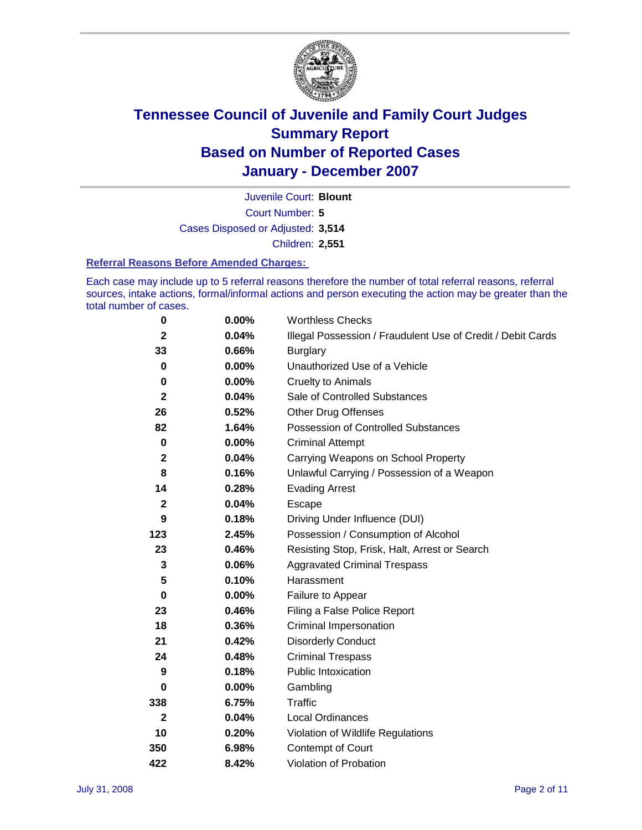

Court Number: **5** Juvenile Court: **Blount** Cases Disposed or Adjusted: **3,514** Children: **2,551**

#### **Referral Reasons Before Amended Charges:**

Each case may include up to 5 referral reasons therefore the number of total referral reasons, referral sources, intake actions, formal/informal actions and person executing the action may be greater than the total number of cases.

| 0            | 0.00%    | <b>Worthless Checks</b>                                     |
|--------------|----------|-------------------------------------------------------------|
| $\mathbf{2}$ | 0.04%    | Illegal Possession / Fraudulent Use of Credit / Debit Cards |
| 33           | 0.66%    | <b>Burglary</b>                                             |
| 0            | $0.00\%$ | Unauthorized Use of a Vehicle                               |
| 0            | 0.00%    | <b>Cruelty to Animals</b>                                   |
| $\mathbf 2$  | 0.04%    | Sale of Controlled Substances                               |
| 26           | 0.52%    | <b>Other Drug Offenses</b>                                  |
| 82           | 1.64%    | Possession of Controlled Substances                         |
| $\mathbf 0$  | $0.00\%$ | <b>Criminal Attempt</b>                                     |
| $\mathbf{2}$ | 0.04%    | Carrying Weapons on School Property                         |
| 8            | 0.16%    | Unlawful Carrying / Possession of a Weapon                  |
| 14           | 0.28%    | <b>Evading Arrest</b>                                       |
| $\mathbf{2}$ | 0.04%    | Escape                                                      |
| 9            | 0.18%    | Driving Under Influence (DUI)                               |
| 123          | 2.45%    | Possession / Consumption of Alcohol                         |
| 23           | 0.46%    | Resisting Stop, Frisk, Halt, Arrest or Search               |
| 3            | 0.06%    | <b>Aggravated Criminal Trespass</b>                         |
| 5            | 0.10%    | Harassment                                                  |
| $\mathbf 0$  | 0.00%    | Failure to Appear                                           |
| 23           | 0.46%    | Filing a False Police Report                                |
| 18           | 0.36%    | Criminal Impersonation                                      |
| 21           | 0.42%    | <b>Disorderly Conduct</b>                                   |
| 24           | 0.48%    | <b>Criminal Trespass</b>                                    |
| 9            | 0.18%    | <b>Public Intoxication</b>                                  |
| 0            | $0.00\%$ | Gambling                                                    |
| 338          | 6.75%    | Traffic                                                     |
| $\mathbf{2}$ | 0.04%    | <b>Local Ordinances</b>                                     |
| 10           | 0.20%    | Violation of Wildlife Regulations                           |
| 350          | 6.98%    | Contempt of Court                                           |
| 422          | 8.42%    | Violation of Probation                                      |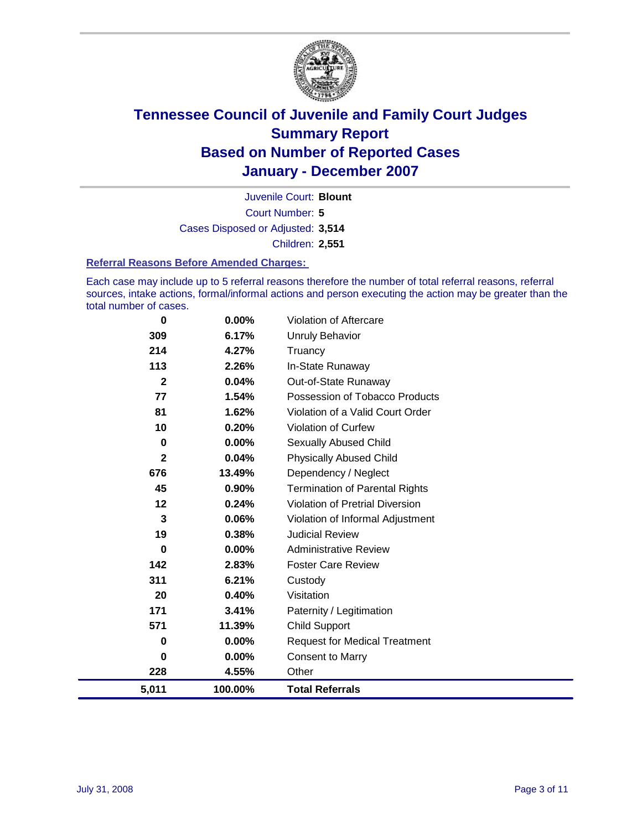

Court Number: **5** Juvenile Court: **Blount** Cases Disposed or Adjusted: **3,514** Children: **2,551**

#### **Referral Reasons Before Amended Charges:**

Each case may include up to 5 referral reasons therefore the number of total referral reasons, referral sources, intake actions, formal/informal actions and person executing the action may be greater than the total number of cases.

| 5,011        | 100.00% | <b>Total Referrals</b>                 |
|--------------|---------|----------------------------------------|
| 228          | 4.55%   | Other                                  |
| 0            | 0.00%   | <b>Consent to Marry</b>                |
| 0            | 0.00%   | <b>Request for Medical Treatment</b>   |
| 571          | 11.39%  | <b>Child Support</b>                   |
| 171          | 3.41%   | Paternity / Legitimation               |
| 20           | 0.40%   | Visitation                             |
| 311          | 6.21%   | Custody                                |
| 142          | 2.83%   | <b>Foster Care Review</b>              |
| 0            | 0.00%   | <b>Administrative Review</b>           |
| 19           | 0.38%   | <b>Judicial Review</b>                 |
| 3            | 0.06%   | Violation of Informal Adjustment       |
| 12           | 0.24%   | <b>Violation of Pretrial Diversion</b> |
| 45           | 0.90%   | <b>Termination of Parental Rights</b>  |
| 676          | 13.49%  | Dependency / Neglect                   |
| $\mathbf{2}$ | 0.04%   | <b>Physically Abused Child</b>         |
| 0            | 0.00%   | <b>Sexually Abused Child</b>           |
| 10           | 0.20%   | <b>Violation of Curfew</b>             |
| 81           | 1.62%   | Violation of a Valid Court Order       |
| 77           | 1.54%   | Possession of Tobacco Products         |
| $\mathbf{2}$ | 0.04%   | Out-of-State Runaway                   |
| 113          | 2.26%   | In-State Runaway                       |
| 214          | 4.27%   | Truancy                                |
| 309          | 6.17%   | <b>Unruly Behavior</b>                 |
| $\bf{0}$     | 0.00%   | Violation of Aftercare                 |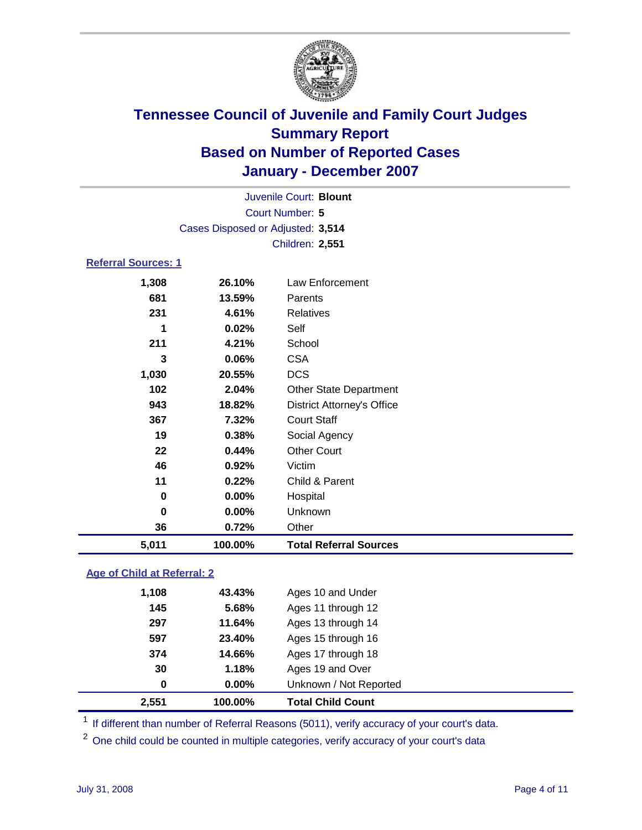

| 5,011                      | 100.00%                           | <b>Total Referral Sources</b>     |  |
|----------------------------|-----------------------------------|-----------------------------------|--|
| 36                         | 0.72%                             | Other                             |  |
| $\bf{0}$                   | 0.00%                             | Unknown                           |  |
| $\bf{0}$                   | 0.00%                             | Hospital                          |  |
| 11                         | 0.22%                             | Child & Parent                    |  |
| 46                         | 0.92%                             | Victim                            |  |
| 22                         | 0.44%                             | <b>Other Court</b>                |  |
| 19                         | 0.38%                             | Social Agency                     |  |
| 367                        | 7.32%                             | <b>Court Staff</b>                |  |
| 943                        | 18.82%                            | <b>District Attorney's Office</b> |  |
| 102                        | 2.04%                             | <b>Other State Department</b>     |  |
| 1,030                      | 20.55%                            | <b>DCS</b>                        |  |
| 3                          | 0.06%                             | <b>CSA</b>                        |  |
| 211                        | 4.21%                             | School                            |  |
| 1                          | 0.02%                             | Self                              |  |
| 231                        | 4.61%                             | <b>Relatives</b>                  |  |
| 681                        | 13.59%                            | Parents                           |  |
| 1,308                      | 26.10%                            | Law Enforcement                   |  |
| <b>Referral Sources: 1</b> |                                   |                                   |  |
|                            |                                   | <b>Children: 2,551</b>            |  |
|                            | Cases Disposed or Adjusted: 3,514 |                                   |  |
|                            |                                   | Court Number: 5                   |  |
|                            |                                   | Juvenile Court: Blount            |  |
|                            |                                   |                                   |  |

### **Age of Child at Referral: 2**

| 2,551 | 100.00%       | <b>Total Child Count</b> |
|-------|---------------|--------------------------|
|       | $0.00\%$<br>0 | Unknown / Not Reported   |
|       | 30<br>1.18%   | Ages 19 and Over         |
| 374   | 14.66%        | Ages 17 through 18       |
| 597   | 23.40%        | Ages 15 through 16       |
| 297   | 11.64%        | Ages 13 through 14       |
| 145   | 5.68%         | Ages 11 through 12       |
| 1,108 | 43.43%        | Ages 10 and Under        |
|       |               |                          |

<sup>1</sup> If different than number of Referral Reasons (5011), verify accuracy of your court's data.

<sup>2</sup> One child could be counted in multiple categories, verify accuracy of your court's data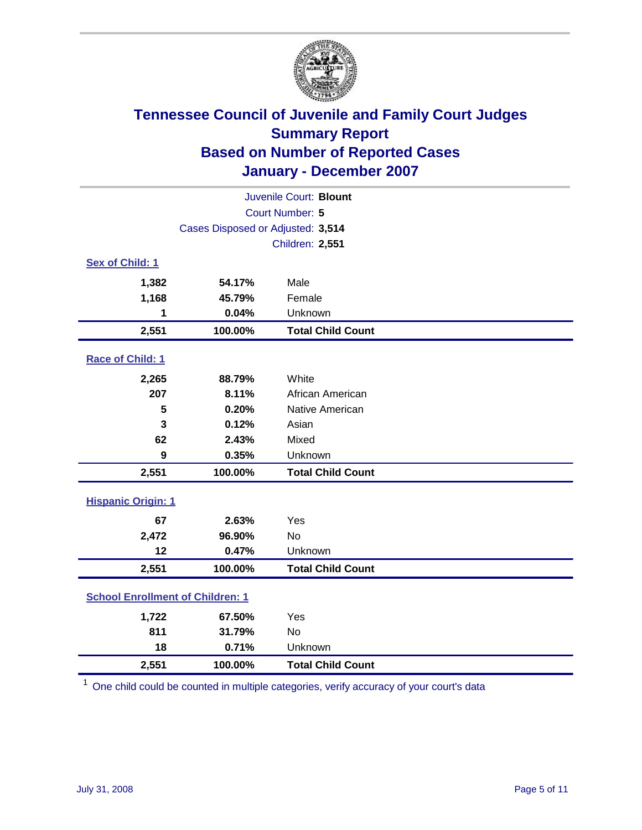

| Juvenile Court: Blount                  |                                   |                          |  |  |  |
|-----------------------------------------|-----------------------------------|--------------------------|--|--|--|
| Court Number: 5                         |                                   |                          |  |  |  |
|                                         | Cases Disposed or Adjusted: 3,514 |                          |  |  |  |
|                                         | Children: 2,551                   |                          |  |  |  |
| Sex of Child: 1                         |                                   |                          |  |  |  |
| 1,382                                   | 54.17%                            | Male                     |  |  |  |
| 1,168                                   | 45.79%                            | Female                   |  |  |  |
| 1                                       | 0.04%                             | Unknown                  |  |  |  |
| 2,551                                   | 100.00%                           | <b>Total Child Count</b> |  |  |  |
| Race of Child: 1                        |                                   |                          |  |  |  |
| 2,265                                   | 88.79%                            | White                    |  |  |  |
| 207                                     | 8.11%                             | African American         |  |  |  |
| 5                                       | 0.20%                             | Native American          |  |  |  |
| 3                                       | 0.12%                             | Asian                    |  |  |  |
| 62                                      | 2.43%                             | Mixed                    |  |  |  |
| 9                                       | 0.35%                             | Unknown                  |  |  |  |
| 2,551                                   | 100.00%                           | <b>Total Child Count</b> |  |  |  |
| <b>Hispanic Origin: 1</b>               |                                   |                          |  |  |  |
| 67                                      | 2.63%                             | Yes                      |  |  |  |
| 2,472                                   | 96.90%                            | <b>No</b>                |  |  |  |
| 12                                      | 0.47%                             | Unknown                  |  |  |  |
| 2,551                                   | 100.00%                           | <b>Total Child Count</b> |  |  |  |
| <b>School Enrollment of Children: 1</b> |                                   |                          |  |  |  |
| 1,722                                   | 67.50%                            | Yes                      |  |  |  |
| 811                                     | 31.79%                            | No                       |  |  |  |
| 18                                      | 0.71%                             | Unknown                  |  |  |  |
| 2,551                                   | 100.00%                           | <b>Total Child Count</b> |  |  |  |

<sup>1</sup> One child could be counted in multiple categories, verify accuracy of your court's data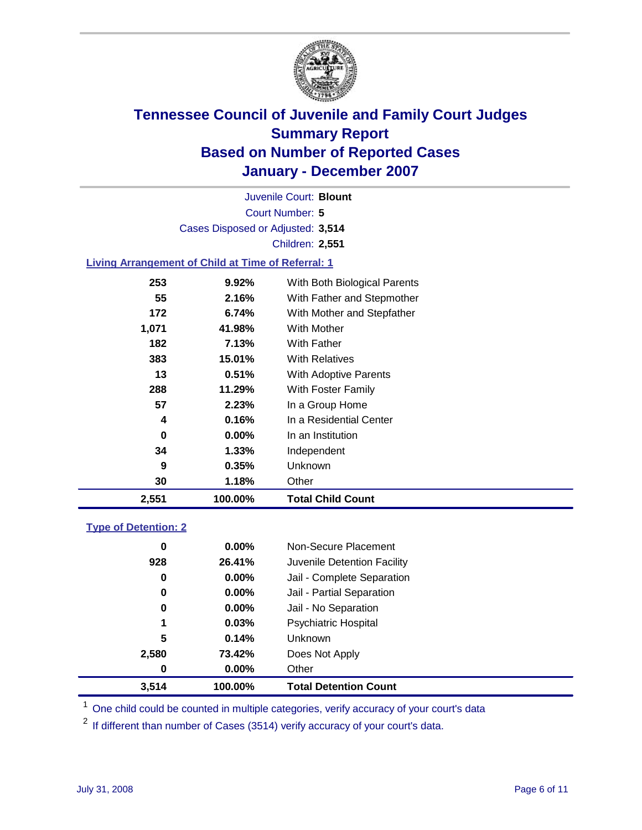

Court Number: **5** Juvenile Court: **Blount** Cases Disposed or Adjusted: **3,514** Children: **2,551**

### **Living Arrangement of Child at Time of Referral: 1**

| 2,551 | 100.00%  | <b>Total Child Count</b>     |
|-------|----------|------------------------------|
| 30    | 1.18%    | Other                        |
| 9     | 0.35%    | Unknown                      |
| 34    | $1.33\%$ | Independent                  |
| 0     | $0.00\%$ | In an Institution            |
| 4     | 0.16%    | In a Residential Center      |
| 57    | 2.23%    | In a Group Home              |
| 288   | 11.29%   | With Foster Family           |
| 13    | 0.51%    | With Adoptive Parents        |
| 383   | 15.01%   | <b>With Relatives</b>        |
| 182   | 7.13%    | With Father                  |
| 1,071 | 41.98%   | With Mother                  |
| 172   | 6.74%    | With Mother and Stepfather   |
| 55    | 2.16%    | With Father and Stepmother   |
| 253   | $9.92\%$ | With Both Biological Parents |
|       |          |                              |

#### **Type of Detention: 2**

| 3.514 | 100.00%  | <b>Total Detention Count</b> |  |
|-------|----------|------------------------------|--|
| 0     | 0.00%    | Other                        |  |
| 2,580 | 73.42%   | Does Not Apply               |  |
| 5     | 0.14%    | <b>Unknown</b>               |  |
| 1     | 0.03%    | <b>Psychiatric Hospital</b>  |  |
| 0     | 0.00%    | Jail - No Separation         |  |
| 0     | $0.00\%$ | Jail - Partial Separation    |  |
| 0     | $0.00\%$ | Jail - Complete Separation   |  |
| 928   | 26.41%   | Juvenile Detention Facility  |  |
| 0     | $0.00\%$ | Non-Secure Placement         |  |
|       |          |                              |  |

<sup>1</sup> One child could be counted in multiple categories, verify accuracy of your court's data

<sup>2</sup> If different than number of Cases (3514) verify accuracy of your court's data.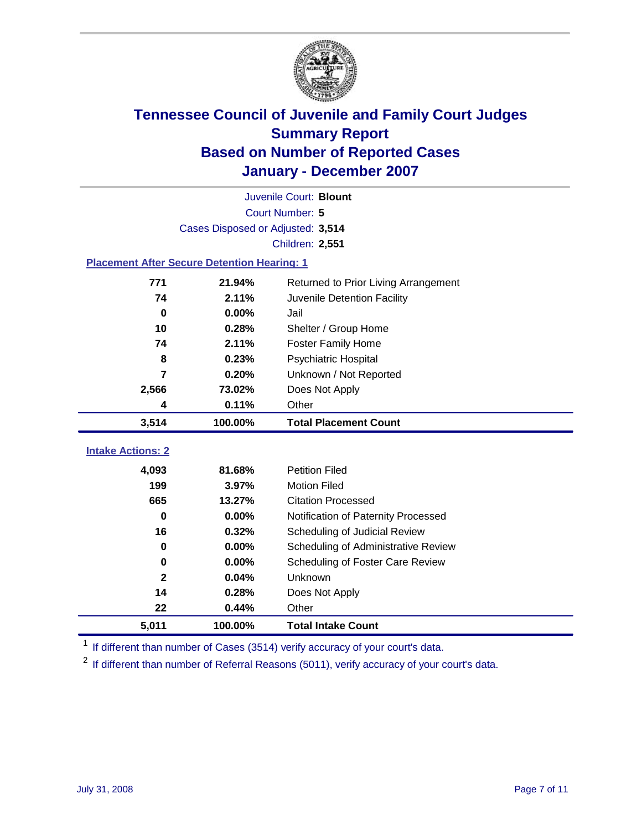

| Juvenile Court: Blount                             |                                   |                                      |  |  |  |
|----------------------------------------------------|-----------------------------------|--------------------------------------|--|--|--|
| Court Number: 5                                    |                                   |                                      |  |  |  |
|                                                    | Cases Disposed or Adjusted: 3,514 |                                      |  |  |  |
|                                                    |                                   | <b>Children: 2,551</b>               |  |  |  |
| <b>Placement After Secure Detention Hearing: 1</b> |                                   |                                      |  |  |  |
| 771                                                | 21.94%                            | Returned to Prior Living Arrangement |  |  |  |
| 74                                                 | 2.11%                             | Juvenile Detention Facility          |  |  |  |
| $\bf{0}$                                           | 0.00%                             | Jail                                 |  |  |  |
| 10                                                 | 0.28%                             | Shelter / Group Home                 |  |  |  |
| 74                                                 | 2.11%                             | <b>Foster Family Home</b>            |  |  |  |
| 8                                                  | 0.23%                             | Psychiatric Hospital                 |  |  |  |
| 7                                                  | 0.20%                             | Unknown / Not Reported               |  |  |  |
| 2,566                                              | 73.02%                            | Does Not Apply                       |  |  |  |
| 4                                                  | 0.11%                             | Other                                |  |  |  |
| 3,514                                              | 100.00%                           | <b>Total Placement Count</b>         |  |  |  |
|                                                    |                                   |                                      |  |  |  |
| <b>Intake Actions: 2</b>                           |                                   |                                      |  |  |  |
| 4,093                                              | 81.68%                            | <b>Petition Filed</b>                |  |  |  |
| 199                                                | 3.97%                             | <b>Motion Filed</b>                  |  |  |  |
| 665                                                | 13.27%                            | <b>Citation Processed</b>            |  |  |  |
| $\bf{0}$                                           | 0.00%                             | Notification of Paternity Processed  |  |  |  |
| 16                                                 | 0.32%                             | Scheduling of Judicial Review        |  |  |  |
| $\bf{0}$                                           | 0.00%                             | Scheduling of Administrative Review  |  |  |  |
| 0                                                  | 0.00%                             | Scheduling of Foster Care Review     |  |  |  |
| $\mathbf{2}$                                       | 0.04%                             | Unknown                              |  |  |  |
| 14                                                 | 0.28%                             | Does Not Apply                       |  |  |  |
| 22                                                 | 0.44%                             | Other                                |  |  |  |
| 5,011                                              | 100.00%                           | <b>Total Intake Count</b>            |  |  |  |

<sup>1</sup> If different than number of Cases (3514) verify accuracy of your court's data.

<sup>2</sup> If different than number of Referral Reasons (5011), verify accuracy of your court's data.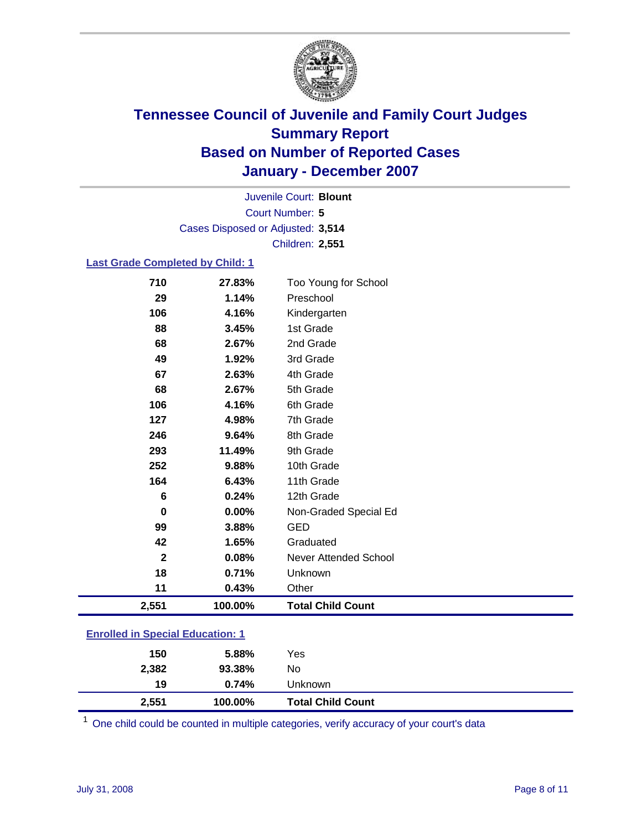

Court Number: **5** Juvenile Court: **Blount** Cases Disposed or Adjusted: **3,514** Children: **2,551**

#### **Last Grade Completed by Child: 1**

| 2,551        | 100.00% | <b>Total Child Count</b>     |
|--------------|---------|------------------------------|
| 11           | 0.43%   | Other                        |
| 18           | 0.71%   | Unknown                      |
| $\mathbf{2}$ | 0.08%   | <b>Never Attended School</b> |
| 42           | 1.65%   | Graduated                    |
| 99           | 3.88%   | <b>GED</b>                   |
| $\bf{0}$     | 0.00%   | Non-Graded Special Ed        |
| 6            | 0.24%   | 12th Grade                   |
| 164          | 6.43%   | 11th Grade                   |
| 252          | 9.88%   | 10th Grade                   |
| 293          | 11.49%  | 9th Grade                    |
| 246          | 9.64%   | 8th Grade                    |
| 127          | 4.98%   | 7th Grade                    |
| 106          | 4.16%   | 6th Grade                    |
| 68           | 2.67%   | 5th Grade                    |
| 67           | 2.63%   | 4th Grade                    |
| 49           | 1.92%   | 3rd Grade                    |
| 68           | 2.67%   | 2nd Grade                    |
| 88           | 3.45%   | 1st Grade                    |
| 106          | 4.16%   | Kindergarten                 |
| 29           | 1.14%   | Preschool                    |
| 710          | 27.83%  | Too Young for School         |

### **Enrolled in Special Education: 1**

<sup>1</sup> One child could be counted in multiple categories, verify accuracy of your court's data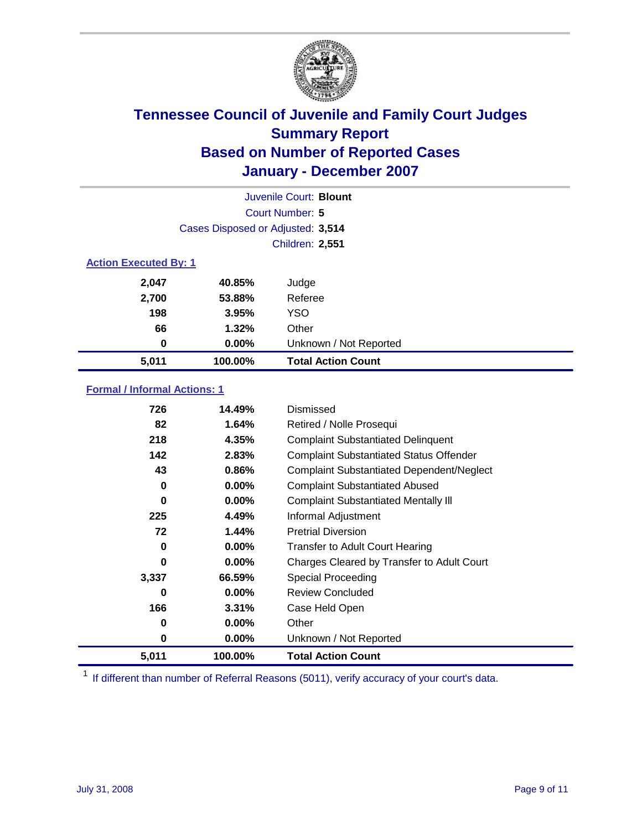

| Juvenile Court: Blount       |                                   |                           |  |  |  |
|------------------------------|-----------------------------------|---------------------------|--|--|--|
|                              | Court Number: 5                   |                           |  |  |  |
|                              | Cases Disposed or Adjusted: 3,514 |                           |  |  |  |
|                              |                                   | <b>Children: 2,551</b>    |  |  |  |
| <b>Action Executed By: 1</b> |                                   |                           |  |  |  |
| 2,047                        | 40.85%                            | Judge                     |  |  |  |
| 2,700                        | 53.88%                            | Referee                   |  |  |  |
| 198                          | 3.95%                             | <b>YSO</b>                |  |  |  |
| 66                           | 1.32%                             | Other                     |  |  |  |
| 0                            | $0.00\%$                          | Unknown / Not Reported    |  |  |  |
| 5,011                        | 100.00%                           | <b>Total Action Count</b> |  |  |  |

### **Formal / Informal Actions: 1**

| 726   | 14.49%   | Dismissed                                        |
|-------|----------|--------------------------------------------------|
| 82    | 1.64%    | Retired / Nolle Prosequi                         |
| 218   | 4.35%    | <b>Complaint Substantiated Delinquent</b>        |
| 142   | 2.83%    | <b>Complaint Substantiated Status Offender</b>   |
| 43    | 0.86%    | <b>Complaint Substantiated Dependent/Neglect</b> |
| 0     | $0.00\%$ | <b>Complaint Substantiated Abused</b>            |
| 0     | $0.00\%$ | <b>Complaint Substantiated Mentally III</b>      |
| 225   | 4.49%    | Informal Adjustment                              |
| 72    | 1.44%    | <b>Pretrial Diversion</b>                        |
| 0     | 0.00%    | <b>Transfer to Adult Court Hearing</b>           |
| 0     | $0.00\%$ | Charges Cleared by Transfer to Adult Court       |
| 3,337 | 66.59%   | Special Proceeding                               |
| 0     | $0.00\%$ | <b>Review Concluded</b>                          |
| 166   | 3.31%    | Case Held Open                                   |
| 0     | $0.00\%$ | Other                                            |
| 0     | $0.00\%$ | Unknown / Not Reported                           |
| 5,011 | 100.00%  | <b>Total Action Count</b>                        |

<sup>1</sup> If different than number of Referral Reasons (5011), verify accuracy of your court's data.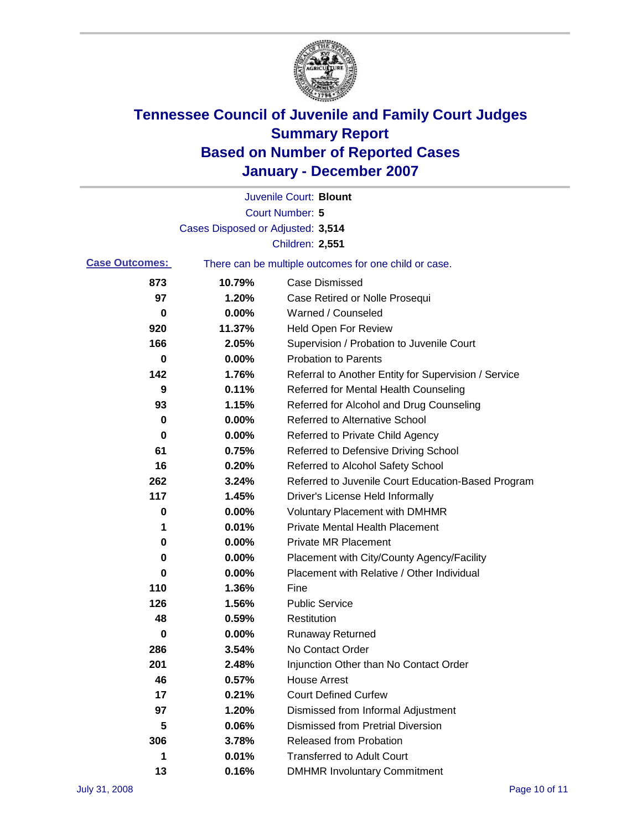

|                       |                                   | Juvenile Court: Blount                                |
|-----------------------|-----------------------------------|-------------------------------------------------------|
|                       |                                   | Court Number: 5                                       |
|                       | Cases Disposed or Adjusted: 3,514 |                                                       |
|                       |                                   | Children: 2,551                                       |
| <b>Case Outcomes:</b> |                                   | There can be multiple outcomes for one child or case. |
| 873                   | 10.79%                            | <b>Case Dismissed</b>                                 |
| 97                    | 1.20%                             | Case Retired or Nolle Prosequi                        |
| 0                     | 0.00%                             | Warned / Counseled                                    |
| 920                   | 11.37%                            | <b>Held Open For Review</b>                           |
| 166                   | 2.05%                             | Supervision / Probation to Juvenile Court             |
| $\bf{0}$              | 0.00%                             | <b>Probation to Parents</b>                           |
| 142                   | 1.76%                             | Referral to Another Entity for Supervision / Service  |
| 9                     | 0.11%                             | Referred for Mental Health Counseling                 |
| 93                    | 1.15%                             | Referred for Alcohol and Drug Counseling              |
| 0                     | 0.00%                             | <b>Referred to Alternative School</b>                 |
| 0                     | 0.00%                             | Referred to Private Child Agency                      |
| 61                    | 0.75%                             | Referred to Defensive Driving School                  |
| 16                    | 0.20%                             | Referred to Alcohol Safety School                     |
| 262                   | 3.24%                             | Referred to Juvenile Court Education-Based Program    |
| 117                   | 1.45%                             | Driver's License Held Informally                      |
| 0                     | 0.00%                             | <b>Voluntary Placement with DMHMR</b>                 |
| 1                     | 0.01%                             | <b>Private Mental Health Placement</b>                |
| 0                     | 0.00%                             | <b>Private MR Placement</b>                           |
| 0                     | 0.00%                             | Placement with City/County Agency/Facility            |
| 0                     | 0.00%                             | Placement with Relative / Other Individual            |
| 110                   | 1.36%                             | Fine                                                  |
| 126                   | 1.56%                             | <b>Public Service</b>                                 |
| 48                    | 0.59%                             | Restitution                                           |
| 0                     | 0.00%                             | <b>Runaway Returned</b>                               |
| 286                   | 3.54%                             | No Contact Order                                      |
| 201                   | 2.48%                             | Injunction Other than No Contact Order                |
| 46                    | 0.57%                             | <b>House Arrest</b>                                   |
| 17                    | 0.21%                             | <b>Court Defined Curfew</b>                           |
| 97                    | 1.20%                             | Dismissed from Informal Adjustment                    |
| 5                     | 0.06%                             | <b>Dismissed from Pretrial Diversion</b>              |
| 306                   | 3.78%                             | <b>Released from Probation</b>                        |
| 1                     | 0.01%                             | <b>Transferred to Adult Court</b>                     |
| 13                    | 0.16%                             | <b>DMHMR Involuntary Commitment</b>                   |